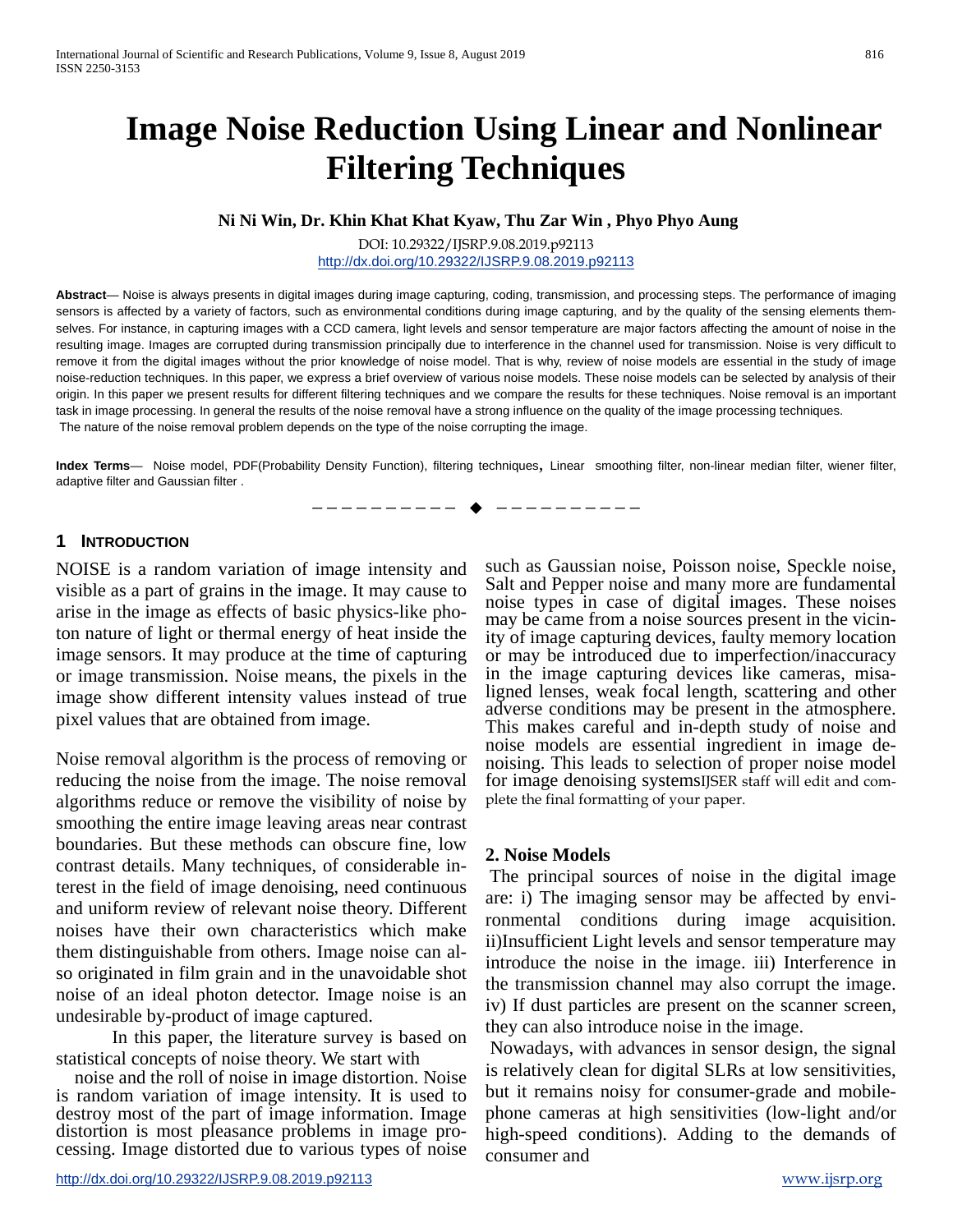# **Image Noise Reduction Using Linear and Nonlinear Filtering Techniques**

#### **Ni Ni Win, Dr. Khin Khat Khat Kyaw, Thu Zar Win , Phyo Phyo Aung**

DOI: 10.29322/IJSRP.9.08.2019.p92113 <http://dx.doi.org/10.29322/IJSRP.9.08.2019.p92113>

**Abstract**— Noise is always presents in digital images during image capturing, coding, transmission, and processing steps. The performance of imaging sensors is affected by a variety of factors, such as environmental conditions during image capturing, and by the quality of the sensing elements themselves. For instance, in capturing images with a CCD camera, light levels and sensor temperature are major factors affecting the amount of noise in the resulting image. Images are corrupted during transmission principally due to interference in the channel used for transmission. Noise is very difficult to remove it from the digital images without the prior knowledge of noise model. That is why, review of noise models are essential in the study of image noise-reduction techniques. In this paper, we express a brief overview of various noise models. These noise models can be selected by analysis of their origin. In this paper we present results for different filtering techniques and we compare the results for these techniques. Noise removal is an important task in image processing. In general the results of the noise removal have a strong influence on the quality of the image processing techniques. The nature of the noise removal problem depends on the type of the noise corrupting the image.

**Index Terms**— Noise model, PDF(Probability Density Function), filtering techniques, Linear smoothing filter, non-linear median filter, wiener filter, adaptive filter and Gaussian filter .

---------- ♦ ----------

#### **1 INTRODUCTION**

NOISE is a random variation of image intensity and visible as a part of grains in the image. It may cause to arise in the image as effects of basic physics-like photon nature of light or thermal energy of heat inside the image sensors. It may produce at the time of capturing or image transmission. Noise means, the pixels in the image show different intensity values instead of true pixel values that are obtained from image.

Noise removal algorithm is the process of removing or reducing the noise from the image. The noise removal algorithms reduce or remove the visibility of noise by smoothing the entire image leaving areas near contrast boundaries. But these methods can obscure fine, low contrast details. Many techniques, of considerable interest in the field of image denoising, need continuous and uniform review of relevant noise theory. Different noises have their own characteristics which make them distinguishable from others. Image noise can also originated in film grain and in the unavoidable shot noise of an ideal photon detector. Image noise is an undesirable by-product of image captured.

In this paper, the literature survey is based on statistical concepts of noise theory. We start with

noise and the roll of noise in image distortion. Noise is random variation of image intensity. It is used to destroy most of the part of image information. Image distortion is most pleasance problems in image processing. Image distorted due to various types of noise

<http://dx.doi.org/10.29322/IJSRP.9.08.2019.p92113> [www.ijsrp.org](http://ijsrp.org/)

such as Gaussian noise, Poisson noise, Speckle noise, Salt and Pepper noise and many more are fundamental noise types in case of digital images. These noises may be came from a noise sources present in the vicinity of image capturing devices, faulty memory location or may be introduced due to imperfection/inaccuracy in the image capturing devices like cameras, misaligned lenses, weak focal length, scattering and other adverse conditions may be present in the atmosphere. This makes careful and in-depth study of noise and noise models are essential ingredient in image denoising. This leads to selection of proper noise model for image denoising systemsIJSER staff will edit and complete the final formatting of your paper.

### **2. Noise Models**

The principal sources of noise in the digital image are: i) The imaging sensor may be affected by environmental conditions during image acquisition. ii)Insufficient Light levels and sensor temperature may introduce the noise in the image. iii) Interference in the transmission channel may also corrupt the image. iv) If dust particles are present on the scanner screen, they can also introduce noise in the image.

Nowadays, with advances in sensor design, the signal is relatively clean for digital SLRs at low sensitivities, but it remains noisy for consumer-grade and mobilephone cameras at high sensitivities (low-light and/or high-speed conditions). Adding to the demands of consumer and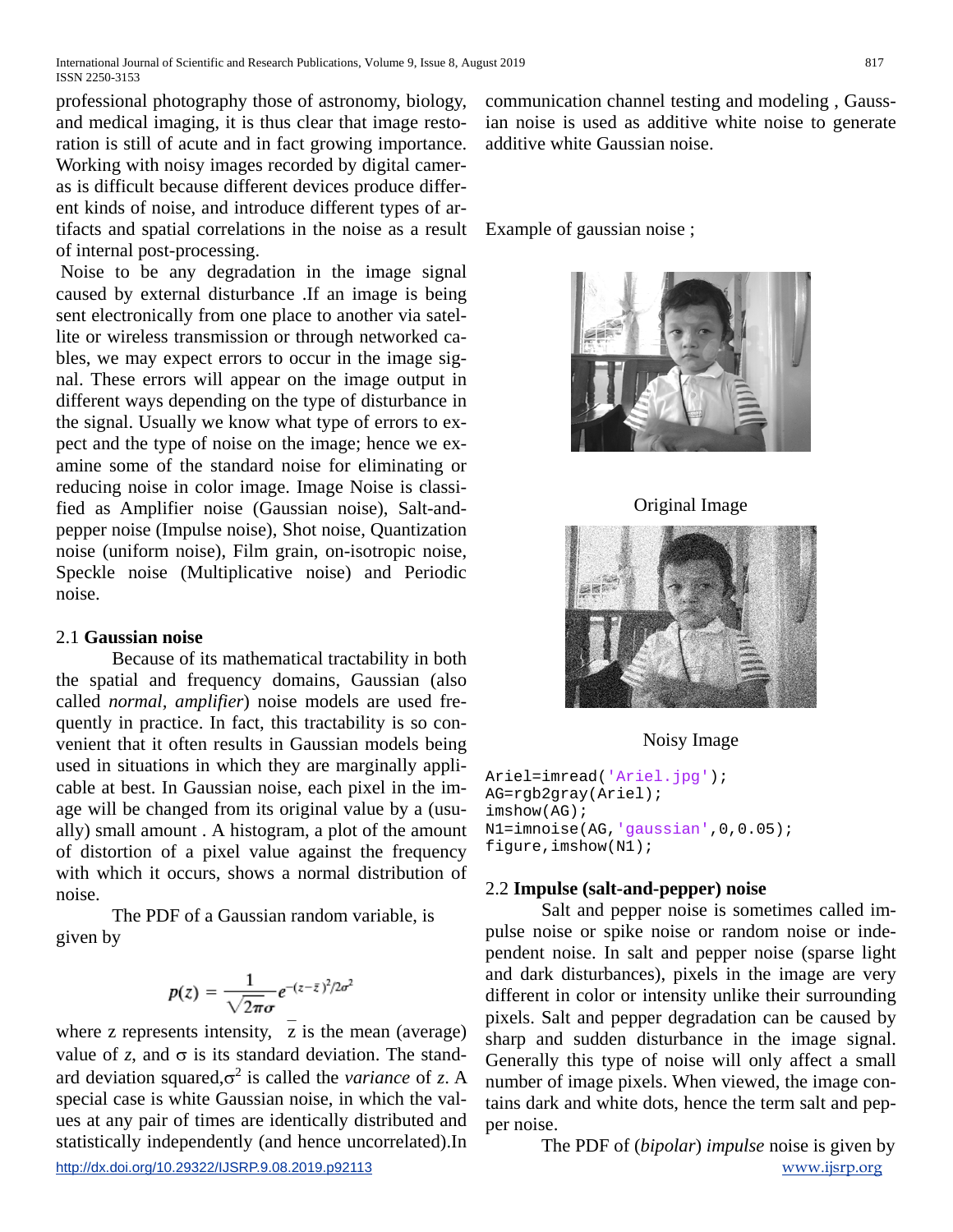professional photography those of astronomy, biology, and medical imaging, it is thus clear that image restoration is still of acute and in fact growing importance. Working with noisy images recorded by digital cameras is difficult because different devices produce different kinds of noise, and introduce different types of artifacts and spatial correlations in the noise as a result of internal post-processing.

Noise to be any degradation in the image signal caused by external disturbance .If an image is being sent electronically from one place to another via satellite or wireless transmission or through networked cables, we may expect errors to occur in the image signal. These errors will appear on the image output in different ways depending on the type of disturbance in the signal. Usually we know what type of errors to expect and the type of noise on the image; hence we examine some of the standard noise for eliminating or reducing noise in color image. Image Noise is classified as Amplifier noise (Gaussian noise), Salt-andpepper noise (Impulse noise), Shot noise, Quantization noise (uniform noise), Film grain, on-isotropic noise, Speckle noise (Multiplicative noise) and Periodic noise.

## 2.1 **Gaussian noise**

Because of its mathematical tractability in both the spatial and frequency domains, Gaussian (also called *normal, amplifier*) noise models are used frequently in practice. In fact, this tractability is so convenient that it often results in Gaussian models being used in situations in which they are marginally applicable at best. In Gaussian noise, each pixel in the image will be changed from its original value by a (usually) small amount . A histogram, a plot of the amount of distortion of a pixel value against the frequency with which it occurs, shows a normal distribution of noise.

The PDF of a Gaussian random variable, is given by

$$
p(z) = \frac{1}{\sqrt{2\pi}\sigma}e^{-(z-\bar{z})^2/2\sigma^2}
$$

where z represents intensity, z is the mean (average) value of *z*, and  $\sigma$  is its standard deviation. The standard deviation squared, $\sigma^2$  is called the *variance* of *z*. A special case is white Gaussian noise, in which the values at any pair of times are identically distributed and statistically independently (and hence uncorrelated).In communication channel testing and modeling , Gaussian noise is used as additive white noise to generate additive white Gaussian noise.

Example of gaussian noise ;



Original Image



Noisy Image

Ariel=imread('Ariel.jpg'); AG=rgb2gray(Ariel); imshow(AG); N1=imnoise(AG,'gaussian',0,0.05); figure,imshow(N1);

## 2.2 **Impulse (salt-and-pepper) noise**

Salt and pepper noise is sometimes called impulse noise or spike noise or random noise or independent noise. In salt and pepper noise (sparse light and dark disturbances), pixels in the image are very different in color or intensity unlike their surrounding pixels. Salt and pepper degradation can be caused by sharp and sudden disturbance in the image signal. Generally this type of noise will only affect a small number of image pixels. When viewed, the image contains dark and white dots, hence the term salt and pepper noise.

<http://dx.doi.org/10.29322/IJSRP.9.08.2019.p92113> [www.ijsrp.org](http://ijsrp.org/) The PDF of (*bipolar*) *impulse* noise is given by

j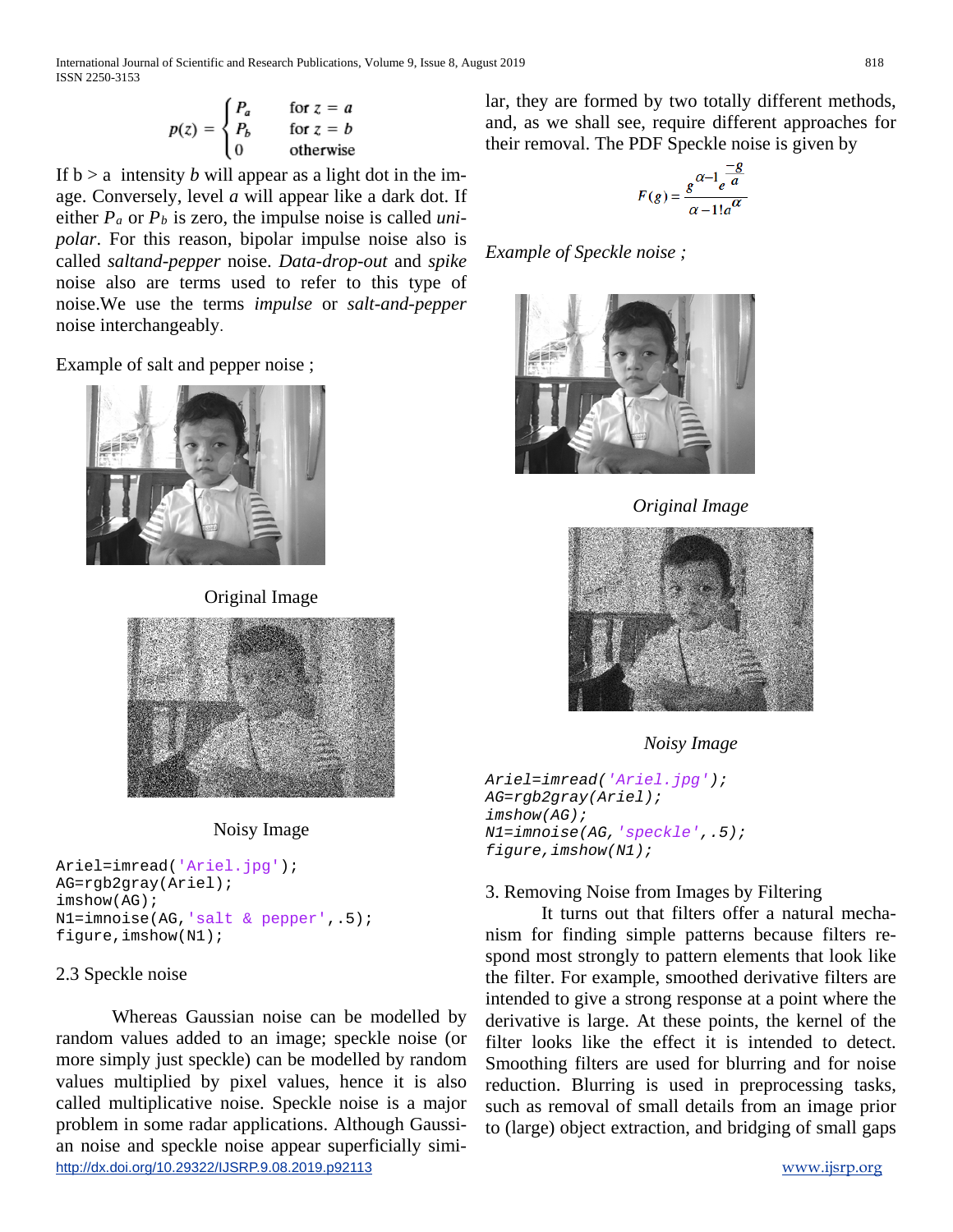International Journal of Scientific and Research Publications, Volume 9, Issue 8, August 2019 818 ISSN 2250-3153

$$
p(z) = \begin{cases} P_a & \text{for } z = a \\ P_b & \text{for } z = b \\ 0 & \text{otherwise} \end{cases}
$$

If  $b > a$  intensity *b* will appear as a light dot in the image. Conversely, level *a* will appear like a dark dot. If either *Pa* or *Pb* is zero, the impulse noise is called *unipolar*. For this reason, bipolar impulse noise also is called *saltand-pepper* noise. *Data-drop-out* and *spike*  noise also are terms used to refer to this type of noise.We use the terms *impulse* or *salt-and-pepper*  noise interchangeably.

Example of salt and pepper noise ;



Original Image



Noisy Image

Ariel=imread('Ariel.jpg'); AG=rgb2gray(Ariel); imshow(AG); N1=imnoise(AG,'salt & pepper',.5); figure,imshow(N1);

## 2.3 Speckle noise

<http://dx.doi.org/10.29322/IJSRP.9.08.2019.p92113> [www.ijsrp.org](http://ijsrp.org/) Whereas Gaussian noise can be modelled by random values added to an image; speckle noise (or more simply just speckle) can be modelled by random values multiplied by pixel values, hence it is also called multiplicative noise. Speckle noise is a major problem in some radar applications. Although Gaussian noise and speckle noise appear superficially simi-

lar, they are formed by two totally different methods, and, as we shall see, require different approaches for their removal. The PDF Speckle noise is given by

$$
F(g) = \frac{g^{\alpha - 1} e^{\frac{-g}{a}}}{\alpha - 1! a^{\alpha}}
$$

*Example of Speckle noise ;*



 *Original Image* 



 *Noisy Image*

*Ariel=imread('Ariel.jpg'); AG=rgb2gray(Ariel); imshow(AG); N1=imnoise(AG,'speckle',.5); figure,imshow(N1);*

3. Removing Noise from Images by Filtering

It turns out that filters offer a natural mechanism for finding simple patterns because filters respond most strongly to pattern elements that look like the filter. For example, smoothed derivative filters are intended to give a strong response at a point where the derivative is large. At these points, the kernel of the filter looks like the effect it is intended to detect. Smoothing filters are used for blurring and for noise reduction. Blurring is used in preprocessing tasks, such as removal of small details from an image prior to (large) object extraction, and bridging of small gaps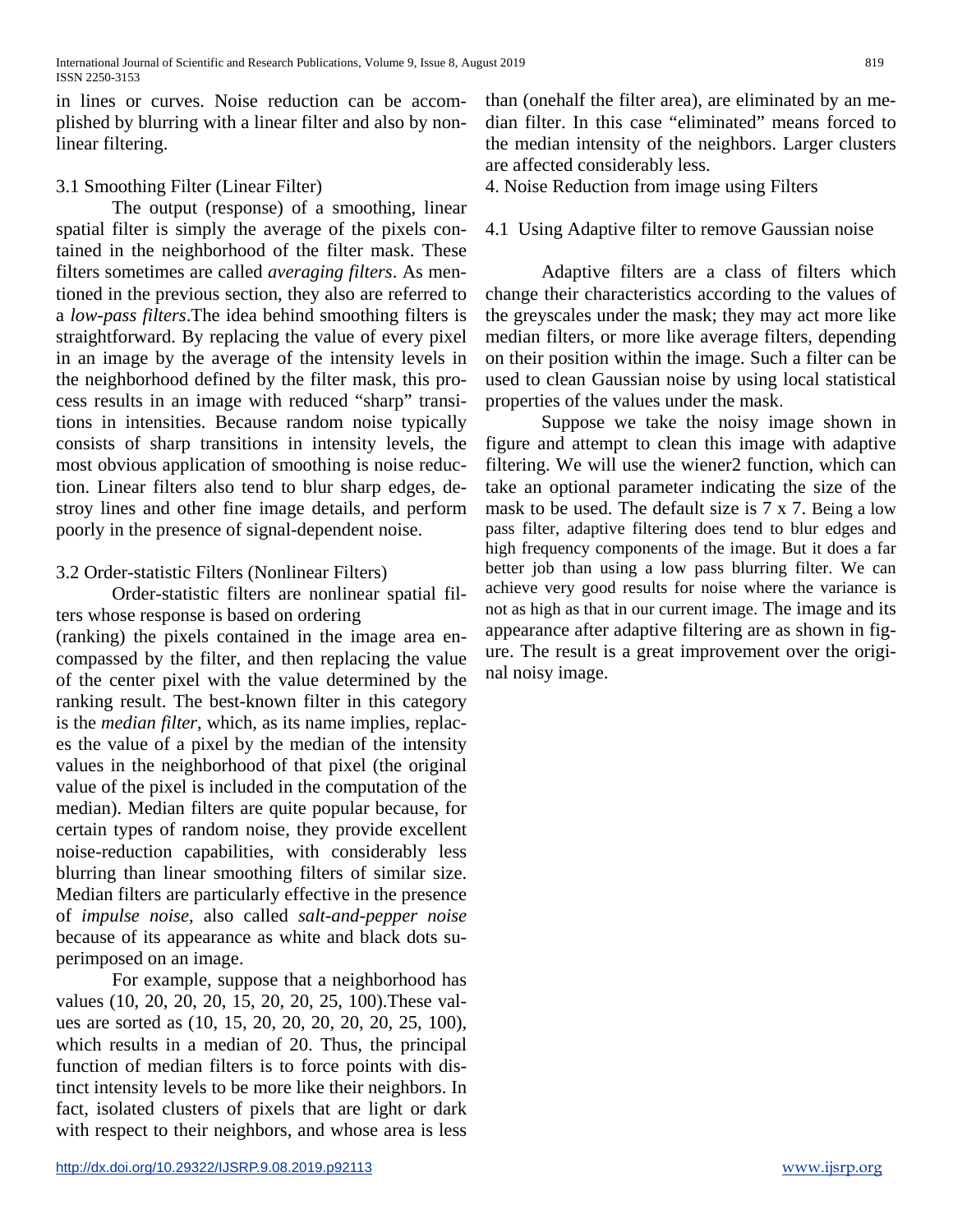in lines or curves. Noise reduction can be accomplished by blurring with a linear filter and also by nonlinear filtering.

# 3.1 Smoothing Filter (Linear Filter)

The output (response) of a smoothing, linear spatial filter is simply the average of the pixels contained in the neighborhood of the filter mask. These filters sometimes are called *averaging filters*. As mentioned in the previous section, they also are referred to a *low-pass filters*.The idea behind smoothing filters is straightforward. By replacing the value of every pixel in an image by the average of the intensity levels in the neighborhood defined by the filter mask, this process results in an image with reduced "sharp" transitions in intensities. Because random noise typically consists of sharp transitions in intensity levels, the most obvious application of smoothing is noise reduction. Linear filters also tend to blur sharp edges, destroy lines and other fine image details, and perform poorly in the presence of signal-dependent noise.

# 3.2 Order-statistic Filters (Nonlinear Filters)

Order-statistic filters are nonlinear spatial filters whose response is based on ordering (ranking) the pixels contained in the image area en-

compassed by the filter, and then replacing the value of the center pixel with the value determined by the ranking result. The best-known filter in this category is the *median filter*, which, as its name implies, replaces the value of a pixel by the median of the intensity values in the neighborhood of that pixel (the original value of the pixel is included in the computation of the median). Median filters are quite popular because, for certain types of random noise, they provide excellent noise-reduction capabilities, with considerably less blurring than linear smoothing filters of similar size. Median filters are particularly effective in the presence of *impulse noise*, also called *salt*-*and*-*pepper noise*  because of its appearance as white and black dots superimposed on an image.

For example, suppose that a neighborhood has values (10, 20, 20, 20, 15, 20, 20, 25, 100).These values are sorted as (10, 15, 20, 20, 20, 20, 20, 25, 100), which results in a median of 20. Thus, the principal function of median filters is to force points with distinct intensity levels to be more like their neighbors. In fact, isolated clusters of pixels that are light or dark with respect to their neighbors, and whose area is less

than (onehalf the filter area), are eliminated by an median filter. In this case "eliminated" means forced to the median intensity of the neighbors. Larger clusters are affected considerably less.

4. Noise Reduction from image using Filters

# 4.1 Using Adaptive filter to remove Gaussian noise

Adaptive filters are a class of filters which change their characteristics according to the values of the greyscales under the mask; they may act more like median filters, or more like average filters, depending on their position within the image. Such a filter can be used to clean Gaussian noise by using local statistical properties of the values under the mask.

Suppose we take the noisy image shown in figure and attempt to clean this image with adaptive filtering. We will use the wiener2 function, which can take an optional parameter indicating the size of the mask to be used. The default size is 7 x 7. Being a low pass filter, adaptive filtering does tend to blur edges and high frequency components of the image. But it does a far better job than using a low pass blurring filter. We can achieve very good results for noise where the variance is not as high as that in our current image. The image and its appearance after adaptive filtering are as shown in figure. The result is a great improvement over the original noisy image.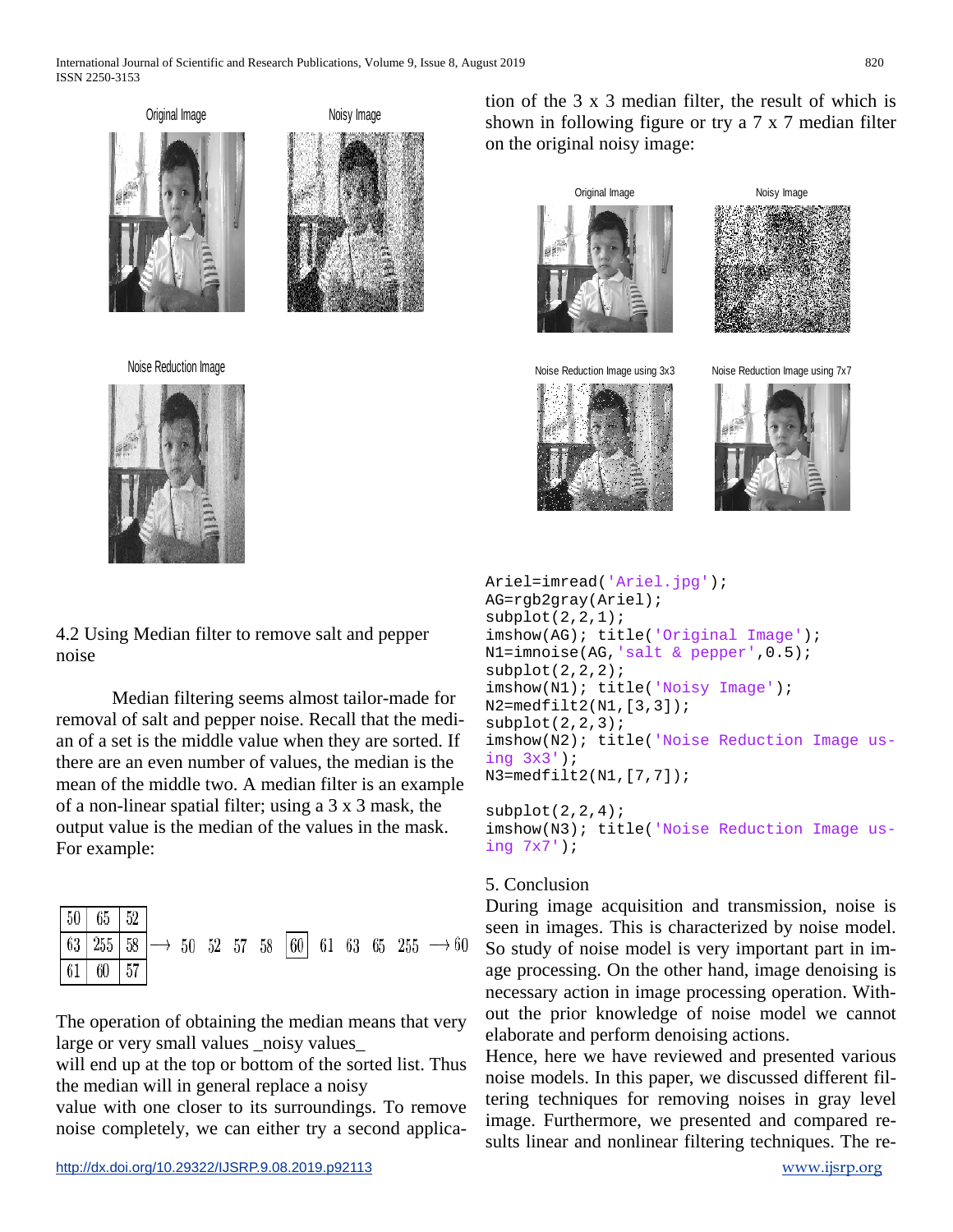

Noise Reduction Image



4.2 Using Median filter to remove salt and pepper noise

Median filtering seems almost tailor-made for removal of salt and pepper noise. Recall that the median of a set is the middle value when they are sorted. If there are an even number of values, the median is the mean of the middle two. A median filter is an example of a non-linear spatial filter; using a 3 x 3 mask, the output value is the median of the values in the mask. For example:



The operation of obtaining the median means that very large or very small values \_noisy values\_

will end up at the top or bottom of the sorted list. Thus the median will in general replace a noisy

value with one closer to its surroundings. To remove noise completely, we can either try a second application of the 3 x 3 median filter, the result of which is shown in following figure or try a 7 x 7 median filter on the original noisy image:



```
Ariel=imread('Ariel.jpg');
AG=rgb2gray(Ariel);
subplot(2,2,1);imshow(AG); title('Original Image');
N1 = \text{imnoise}(AG, \text{salt & pepper}', 0.5);subplot(2,2,2);imshow(N1); title('Noisy Image');
N2 = medfile2(N1, [3,3]);
subplot(2,2,3);imshow(N2); title('Noise Reduction Image us-
ing 3x3');
N3=medfilt2(N1,[7,7]);
```
 $subplot(2,2,4);$ imshow(N3); title('Noise Reduction Image using 7x7');

### 5. Conclusion

During image acquisition and transmission, noise is seen in images. This is characterized by noise model. So study of noise model is very important part in image processing. On the other hand, image denoising is necessary action in image processing operation. Without the prior knowledge of noise model we cannot elaborate and perform denoising actions.

Hence, here we have reviewed and presented various noise models. In this paper, we discussed different filtering techniques for removing noises in gray level image. Furthermore, we presented and compared results linear and nonlinear filtering techniques. The re